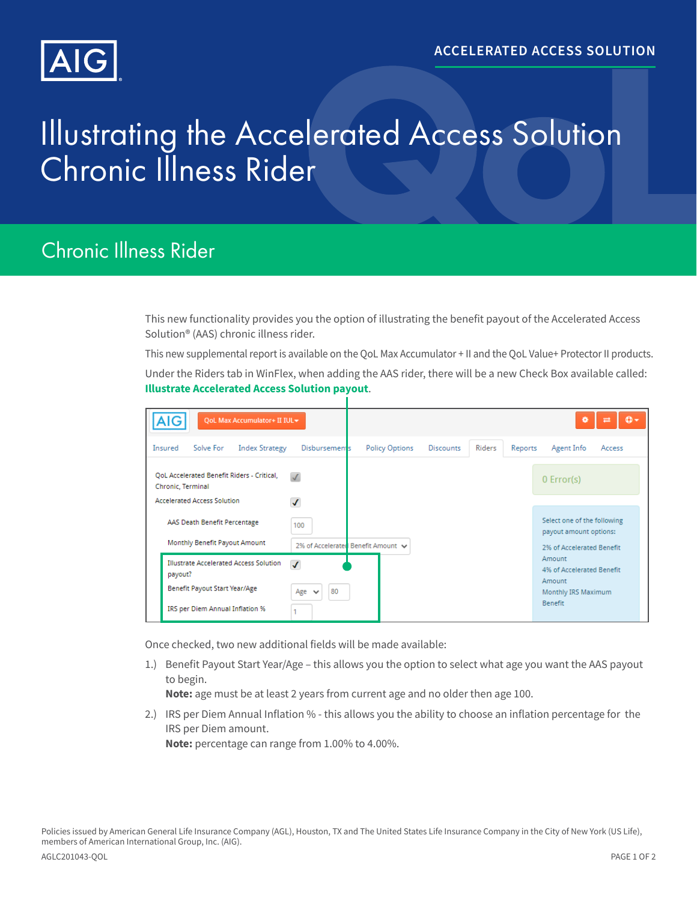

## Illustrating the Accelerated Access Solution Chronic Illness Rider

## Chronic Illness Rider

This new functionality provides you the option of illustrating the benefit payout of the Accelerated Access Solution® (AAS) chronic illness rider.

This new supplemental report is available on the QoL Max Accumulator + II and the QoL Value+ Protector II products.

Under the Riders tab in WinFlex, when adding the AAS rider, there will be a new Check Box available called: **Illustrate Accelerated Access Solution payout**.

| QoL Max Accumulator+ II IUL<br>AIG                                                                                                           |                                    |                                    |                  |                                                     | o       | Φ۰<br>ᆮ                                                                                |        |
|----------------------------------------------------------------------------------------------------------------------------------------------|------------------------------------|------------------------------------|------------------|-----------------------------------------------------|---------|----------------------------------------------------------------------------------------|--------|
| Insured<br>Solve For<br><b>Index Strategy</b>                                                                                                | <b>Disbursements</b>               | <b>Policy Options</b>              | <b>Discounts</b> | Riders                                              | Reports | Agent Info                                                                             | Access |
| <b>QoL Accelerated Benefit Riders - Critical,</b><br>Chronic, Terminal<br><b>Accelerated Access Solution</b><br>AAS Death Benefit Percentage | $\sqrt{}$<br>√<br>100              |                                    |                  |                                                     |         | $0$ Error(s)<br>Select one of the following                                            |        |
| Monthly Benefit Payout Amount                                                                                                                |                                    | 2% of Accelerated Benefit Amount ↓ |                  | payout amount options:<br>2% of Accelerated Benefit |         |                                                                                        |        |
| <b>Illustrate Accelerated Access Solution</b><br>payout?<br>Benefit Payout Start Year/Age<br>IRS per Diem Annual Inflation %                 | $\overline{J}$<br>80<br>Age $\vee$ |                                    |                  |                                                     |         | Amount<br>4% of Accelerated Benefit<br>Amount<br>Monthly IRS Maximum<br><b>Benefit</b> |        |

Once checked, two new additional fields will be made available:

1.) Benefit Payout Start Year/Age – this allows you the option to select what age you want the AAS payout to begin.

**Note:** age must be at least 2 years from current age and no older then age 100.

2.) IRS per Diem Annual Inflation % - this allows you the ability to choose an inflation percentage for the IRS per Diem amount. **Note:** percentage can range from 1.00% to 4.00%.